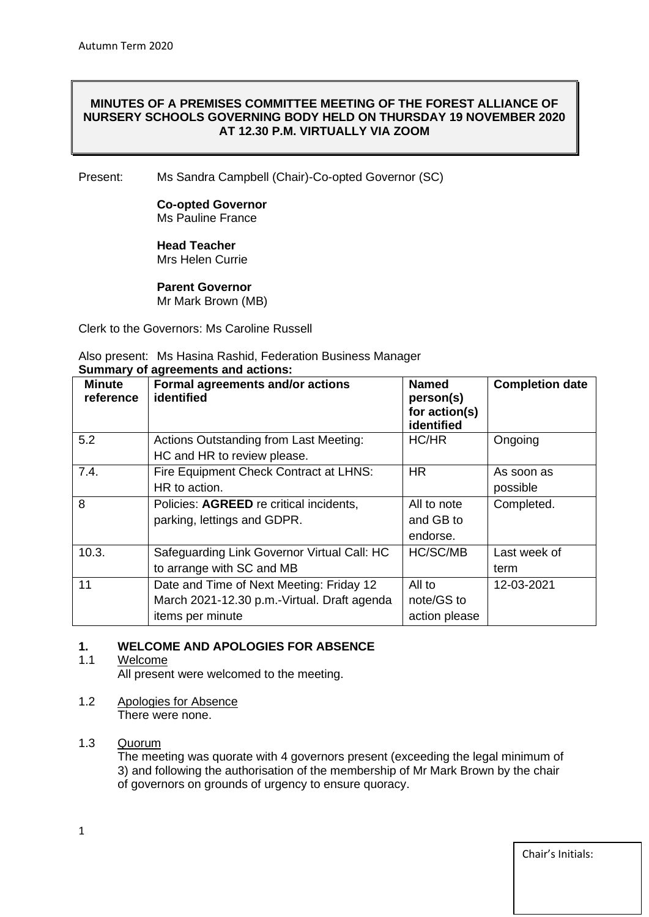## **MINUTES OF A PREMISES COMMITTEE MEETING OF THE FOREST ALLIANCE OF NURSERY SCHOOLS GOVERNING BODY HELD ON THURSDAY 19 NOVEMBER 2020 AT 12.30 P.M. VIRTUALLY VIA ZOOM**

Present: Ms Sandra Campbell (Chair)-Co-opted Governor (SC)

#### **Co-opted Governor** Ms Pauline France

#### **Head Teacher**  Mrs Helen Currie

#### **Parent Governor** Mr Mark Brown (MB)

Clerk to the Governors: Ms Caroline Russell

Also present: Ms Hasina Rashid, Federation Business Manager

| <b>Minute</b><br>reference | Formal agreements and/or actions<br>identified                                                              | <b>Named</b><br>person(s)<br>for action(s)<br>identified | <b>Completion date</b> |
|----------------------------|-------------------------------------------------------------------------------------------------------------|----------------------------------------------------------|------------------------|
| 5.2                        | <b>Actions Outstanding from Last Meeting:</b><br>HC and HR to review please.                                | HC/HR                                                    | Ongoing                |
| 7.4.                       | Fire Equipment Check Contract at LHNS:<br>HR to action.                                                     | <b>HR</b>                                                | As soon as<br>possible |
| 8                          | Policies: AGREED re critical incidents,<br>parking, lettings and GDPR.                                      | All to note<br>and GB to<br>endorse.                     | Completed.             |
| 10.3.                      | Safeguarding Link Governor Virtual Call: HC<br>to arrange with SC and MB                                    | HC/SC/MB                                                 | Last week of<br>term   |
| 11                         | Date and Time of Next Meeting: Friday 12<br>March 2021-12.30 p.m.-Virtual. Draft agenda<br>items per minute | All to<br>note/GS to<br>action please                    | 12-03-2021             |

## **Summary of agreements and actions:**

## **1. WELCOME AND APOLOGIES FOR ABSENCE**

## 1.1 Welcome

All present were welcomed to the meeting.

1.2 Apologies for Absence There were none.

## 1.3 Quorum

The meeting was quorate with 4 governors present (exceeding the legal minimum of 3) and following the authorisation of the membership of Mr Mark Brown by the chair of governors on grounds of urgency to ensure quoracy.

Chair's Initials: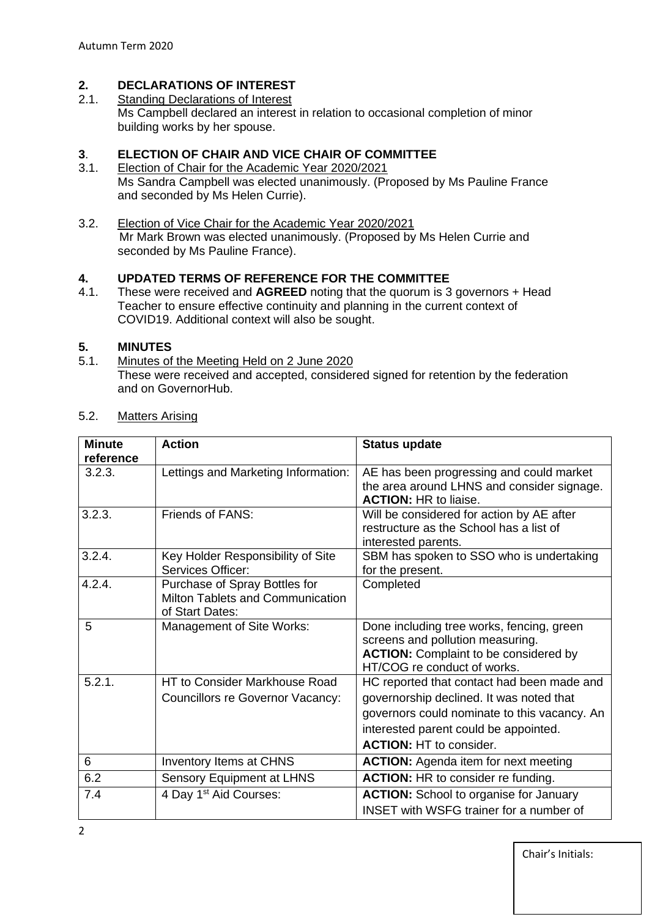## **2. DECLARATIONS OF INTEREST**

2.1. Standing Declarations of Interest Ms Campbell declared an interest in relation to occasional completion of minor building works by her spouse.

## **3**. **ELECTION OF CHAIR AND VICE CHAIR OF COMMITTEE**

- 3.1. Election of Chair for the Academic Year 2020/2021 Ms Sandra Campbell was elected unanimously. (Proposed by Ms Pauline France and seconded by Ms Helen Currie).
- 3.2. Election of Vice Chair for the Academic Year 2020/2021 Mr Mark Brown was elected unanimously. (Proposed by Ms Helen Currie and seconded by Ms Pauline France).

## **4. UPDATED TERMS OF REFERENCE FOR THE COMMITTEE**

4.1. These were received and **AGREED** noting that the quorum is 3 governors + Head Teacher to ensure effective continuity and planning in the current context of COVID19. Additional context will also be sought.

# **5. MINUTES**

Minutes of the Meeting Held on 2 June 2020 These were received and accepted, considered signed for retention by the federation and on GovernorHub.

| <b>Minute</b> | <b>Action</b>                           | <b>Status update</b>                           |
|---------------|-----------------------------------------|------------------------------------------------|
| reference     |                                         |                                                |
| 3.2.3.        | Lettings and Marketing Information:     | AE has been progressing and could market       |
|               |                                         | the area around LHNS and consider signage.     |
|               |                                         | <b>ACTION: HR to liaise.</b>                   |
| 3.2.3.        | Friends of FANS:                        | Will be considered for action by AE after      |
|               |                                         | restructure as the School has a list of        |
|               |                                         | interested parents.                            |
| 3.2.4.        | Key Holder Responsibility of Site       | SBM has spoken to SSO who is undertaking       |
|               | Services Officer:                       | for the present.                               |
| 4.2.4.        | Purchase of Spray Bottles for           | Completed                                      |
|               | Milton Tablets and Communication        |                                                |
|               | of Start Dates:                         |                                                |
| 5             | Management of Site Works:               | Done including tree works, fencing, green      |
|               |                                         | screens and pollution measuring.               |
|               |                                         | <b>ACTION:</b> Complaint to be considered by   |
|               |                                         | HT/COG re conduct of works.                    |
| 5.2.1.        | HT to Consider Markhouse Road           | HC reported that contact had been made and     |
|               | <b>Councillors re Governor Vacancy:</b> | governorship declined. It was noted that       |
|               |                                         | governors could nominate to this vacancy. An   |
|               |                                         | interested parent could be appointed.          |
|               |                                         | <b>ACTION: HT to consider.</b>                 |
| 6             | Inventory Items at CHNS                 | <b>ACTION:</b> Agenda item for next meeting    |
| 6.2           | Sensory Equipment at LHNS               | <b>ACTION:</b> HR to consider re funding.      |
| 7.4           | 4 Day 1 <sup>st</sup> Aid Courses:      | <b>ACTION:</b> School to organise for January  |
|               |                                         | <b>INSET</b> with WSFG trainer for a number of |

## 5.2. Matters Arising

Chair's Initials: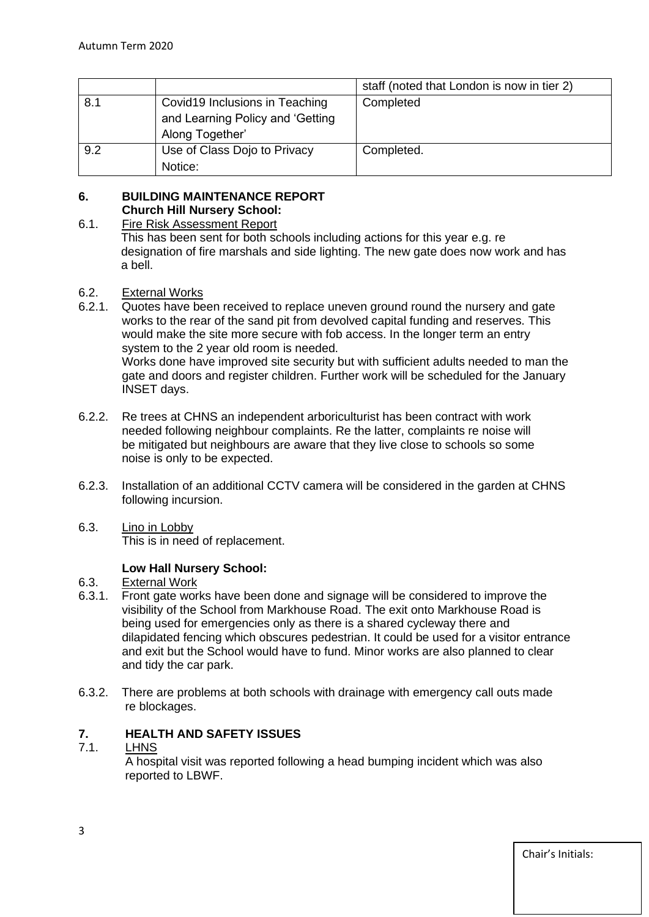|     |                                                                                       | staff (noted that London is now in tier 2) |
|-----|---------------------------------------------------------------------------------------|--------------------------------------------|
| 8.1 | Covid19 Inclusions in Teaching<br>and Learning Policy and 'Getting<br>Along Together' | Completed                                  |
| 9.2 | Use of Class Dojo to Privacy<br>Notice:                                               | Completed.                                 |

## **6. BUILDING MAINTENANCE REPORT Church Hill Nursery School:**

## 6.1. Fire Risk Assessment Report

This has been sent for both schools including actions for this year e.g. re designation of fire marshals and side lighting. The new gate does now work and has a bell.

## 6.2. External Works

- 6.2.1. Quotes have been received to replace uneven ground round the nursery and gate works to the rear of the sand pit from devolved capital funding and reserves. This would make the site more secure with fob access. In the longer term an entry system to the 2 year old room is needed. Works done have improved site security but with sufficient adults needed to man the gate and doors and register children. Further work will be scheduled for the January INSET days.
- 6.2.2. Re trees at CHNS an independent arboriculturist has been contract with work needed following neighbour complaints. Re the latter, complaints re noise will be mitigated but neighbours are aware that they live close to schools so some noise is only to be expected.
- 6.2.3. Installation of an additional CCTV camera will be considered in the garden at CHNS following incursion.
- 6.3. Lino in Lobby

This is in need of replacement.

## **Low Hall Nursery School:**

## 6.3. External Work

- 6.3.1. Front gate works have been done and signage will be considered to improve the visibility of the School from Markhouse Road. The exit onto Markhouse Road is being used for emergencies only as there is a shared cycleway there and dilapidated fencing which obscures pedestrian. It could be used for a visitor entrance and exit but the School would have to fund. Minor works are also planned to clear and tidy the car park.
- 6.3.2. There are problems at both schools with drainage with emergency call outs made re blockages.

## **7. HEALTH AND SAFETY ISSUES**

## 7.1. LHNS

 A hospital visit was reported following a head bumping incident which was also reported to LBWF.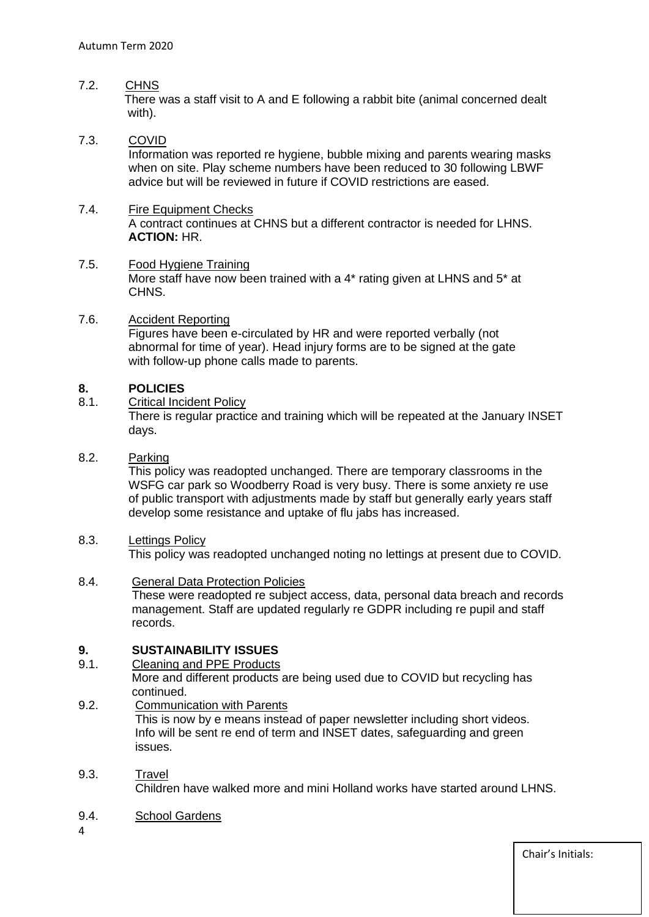## 7.2. CHNS

 There was a staff visit to A and E following a rabbit bite (animal concerned dealt with).

## 7.3. COVID

 Information was reported re hygiene, bubble mixing and parents wearing masks when on site. Play scheme numbers have been reduced to 30 following LBWF advice but will be reviewed in future if COVID restrictions are eased.

#### 7.4. Fire Equipment Checks

 A contract continues at CHNS but a different contractor is needed for LHNS. **ACTION:** HR.

## 7.5. Food Hygiene Training

 More staff have now been trained with a 4\* rating given at LHNS and 5\* at CHNS.

## 7.6. Accident Reporting

 Figures have been e-circulated by HR and were reported verbally (not abnormal for time of year). Head injury forms are to be signed at the gate with follow-up phone calls made to parents.

## **8. POLICIES**

8.1. Critical Incident Policy

 There is regular practice and training which will be repeated at the January INSET days.

## 8.2. Parking

 This policy was readopted unchanged. There are temporary classrooms in the WSFG car park so Woodberry Road is very busy. There is some anxiety re use of public transport with adjustments made by staff but generally early years staff develop some resistance and uptake of flu jabs has increased.

## 8.3. Lettings Policy

This policy was readopted unchanged noting no lettings at present due to COVID.

## 8.4. General Data Protection Policies

 These were readopted re subject access, data, personal data breach and records management. Staff are updated regularly re GDPR including re pupil and staff records.

## **9. SUSTAINABILITY ISSUES**

## 9.1. Cleaning and PPE Products

 More and different products are being used due to COVID but recycling has continued.

#### 9.2. Communication with Parents

 This is now by e means instead of paper newsletter including short videos. Info will be sent re end of term and INSET dates, safeguarding and green issues.

#### 9.3. Travel Children have walked more and mini Holland works have started around LHNS.

## 9.4. School Gardens

4